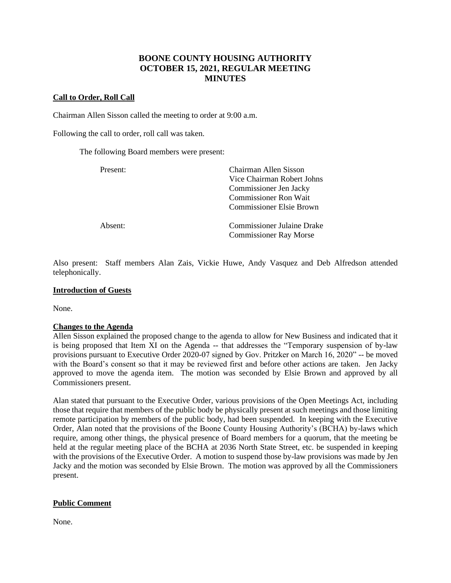# **BOONE COUNTY HOUSING AUTHORITY OCTOBER 15, 2021, REGULAR MEETING MINUTES**

### **Call to Order, Roll Call**

Chairman Allen Sisson called the meeting to order at 9:00 a.m.

Following the call to order, roll call was taken.

The following Board members were present:

| Present: | Chairman Allen Sisson<br>Vice Chairman Robert Johns<br>Commissioner Jen Jacky<br><b>Commissioner Ron Wait</b><br><b>Commissioner Elsie Brown</b> |
|----------|--------------------------------------------------------------------------------------------------------------------------------------------------|
| Absent:  | <b>Commissioner Julaine Drake</b><br><b>Commissioner Ray Morse</b>                                                                               |

Also present: Staff members Alan Zais, Vickie Huwe, Andy Vasquez and Deb Alfredson attended telephonically.

#### **Introduction of Guests**

None.

#### **Changes to the Agenda**

Allen Sisson explained the proposed change to the agenda to allow for New Business and indicated that it is being proposed that Item XI on the Agenda -- that addresses the "Temporary suspension of by-law provisions pursuant to Executive Order 2020-07 signed by Gov. Pritzker on March 16, 2020" -- be moved with the Board's consent so that it may be reviewed first and before other actions are taken. Jen Jacky approved to move the agenda item. The motion was seconded by Elsie Brown and approved by all Commissioners present.

Alan stated that pursuant to the Executive Order, various provisions of the Open Meetings Act, including those that require that members of the public body be physically present at such meetings and those limiting remote participation by members of the public body, had been suspended. In keeping with the Executive Order, Alan noted that the provisions of the Boone County Housing Authority's (BCHA) by-laws which require, among other things, the physical presence of Board members for a quorum, that the meeting be held at the regular meeting place of the BCHA at 2036 North State Street, etc. be suspended in keeping with the provisions of the Executive Order. A motion to suspend those by-law provisions was made by Jen Jacky and the motion was seconded by Elsie Brown. The motion was approved by all the Commissioners present.

#### **Public Comment**

None.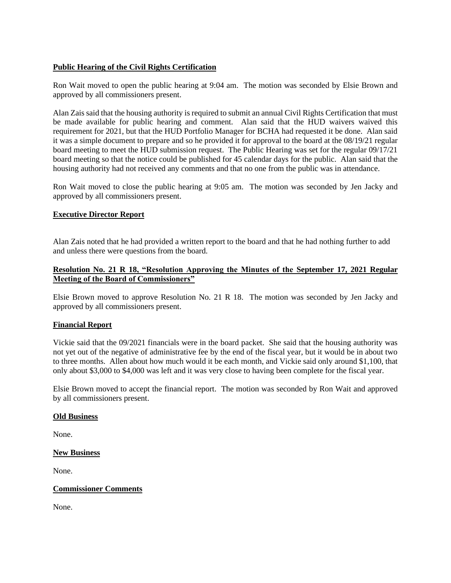#### **Public Hearing of the Civil Rights Certification**

Ron Wait moved to open the public hearing at 9:04 am. The motion was seconded by Elsie Brown and approved by all commissioners present.

Alan Zais said that the housing authority is required to submit an annual Civil Rights Certification that must be made available for public hearing and comment. Alan said that the HUD waivers waived this requirement for 2021, but that the HUD Portfolio Manager for BCHA had requested it be done. Alan said it was a simple document to prepare and so he provided it for approval to the board at the 08/19/21 regular board meeting to meet the HUD submission request. The Public Hearing was set for the regular 09/17/21 board meeting so that the notice could be published for 45 calendar days for the public. Alan said that the housing authority had not received any comments and that no one from the public was in attendance.

Ron Wait moved to close the public hearing at 9:05 am. The motion was seconded by Jen Jacky and approved by all commissioners present.

### **Executive Director Report**

Alan Zais noted that he had provided a written report to the board and that he had nothing further to add and unless there were questions from the board.

### **Resolution No. 21 R 18, "Resolution Approving the Minutes of the September 17, 2021 Regular Meeting of the Board of Commissioners"**

Elsie Brown moved to approve Resolution No. 21 R 18. The motion was seconded by Jen Jacky and approved by all commissioners present.

#### **Financial Report**

Vickie said that the 09/2021 financials were in the board packet. She said that the housing authority was not yet out of the negative of administrative fee by the end of the fiscal year, but it would be in about two to three months. Allen about how much would it be each month, and Vickie said only around \$1,100, that only about \$3,000 to \$4,000 was left and it was very close to having been complete for the fiscal year.

Elsie Brown moved to accept the financial report. The motion was seconded by Ron Wait and approved by all commissioners present.

#### **Old Business**

None.

#### **New Business**

None.

#### **Commissioner Comments**

None.